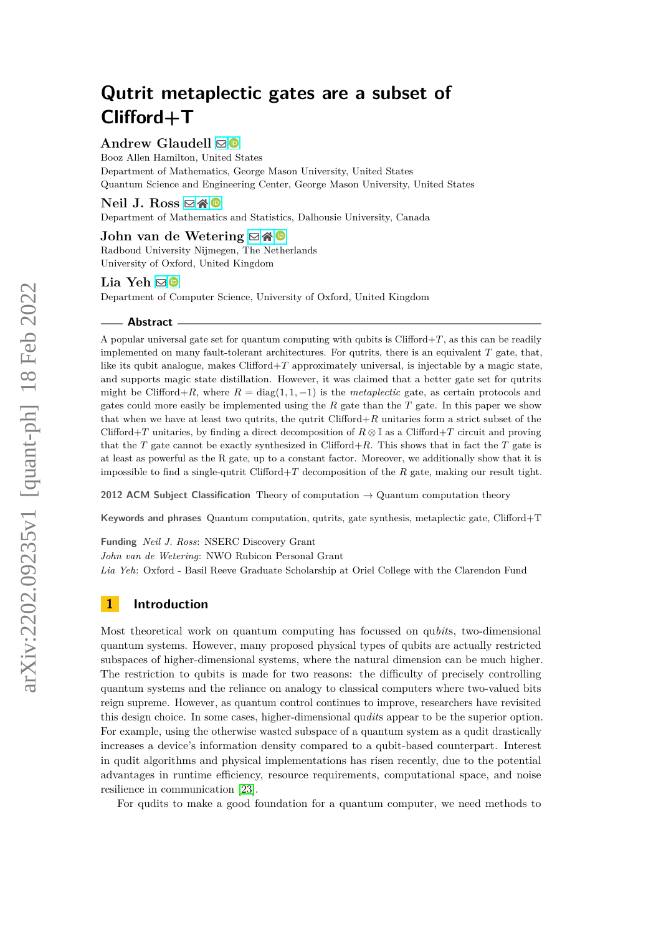# **Andrew Glaudell**  $\boxtimes$  <sup>**©**</sup>

Booz Allen Hamilton, United States Department of Mathematics, George Mason University, United States Quantum Science and Engineering Center, George Mason University, United States

**Neil J. Ross** ⊠常

Department of Mathematics and Statistics, Dalhousie University, Canada

**John van de Wetering** ⊠ R Radboud University Nijmegen, The Netherlands University of Oxford, United Kingdom

# Lia Yeh **⊠**

Department of Computer Science, University of Oxford, United Kingdom

#### **Abstract**

A popular universal gate set for quantum computing with qubits is  $Clifford+T$ , as this can be readily implemented on many fault-tolerant architectures. For qutrits, there is an equivalent *T* gate, that, like its qubit analogue, makes  $Clifford+T$  approximately universal, is injectable by a magic state, and supports magic state distillation. However, it was claimed that a better gate set for qutrits might be Clifford+*R*, where  $R = \text{diag}(1, 1, -1)$  is the *metaplectic* gate, as certain protocols and gates could more easily be implemented using the *R* gate than the *T* gate. In this paper we show that when we have at least two qutrits, the qutrit Clifford+*R* unitaries form a strict subset of the Clifford+*T* unitaries, by finding a direct decomposition of  $R \otimes \mathbb{I}$  as a Clifford+*T* circuit and proving that the *T* gate cannot be exactly synthesized in Clifford+*R*. This shows that in fact the *T* gate is at least as powerful as the R gate, up to a constant factor. Moreover, we additionally show that it is impossible to find a single-qutrit Clifford+*T* decomposition of the *R* gate, making our result tight.

**2012 ACM Subject Classification** Theory of computation → Quantum computation theory

**Keywords and phrases** Quantum computation, qutrits, gate synthesis, metaplectic gate, Clifford+T

**Funding** *Neil J. Ross*: NSERC Discovery Grant

*John van de Wetering*: NWO Rubicon Personal Grant

*Lia Yeh*: Oxford - Basil Reeve Graduate Scholarship at Oriel College with the Clarendon Fund

# **1 Introduction**

Most theoretical work on quantum computing has focussed on qu*bit*s, two-dimensional quantum systems. However, many proposed physical types of qubits are actually restricted subspaces of higher-dimensional systems, where the natural dimension can be much higher. The restriction to qubits is made for two reasons: the difficulty of precisely controlling quantum systems and the reliance on analogy to classical computers where two-valued bits reign supreme. However, as quantum control continues to improve, researchers have revisited this design choice. In some cases, higher-dimensional qu*dit*s appear to be the superior option. For example, using the otherwise wasted subspace of a quantum system as a qudit drastically increases a device's information density compared to a qubit-based counterpart. Interest in qudit algorithms and physical implementations has risen recently, due to the potential advantages in runtime efficiency, resource requirements, computational space, and noise resilience in communication [\[23\]](#page-11-0).

For qudits to make a good foundation for a quantum computer, we need methods to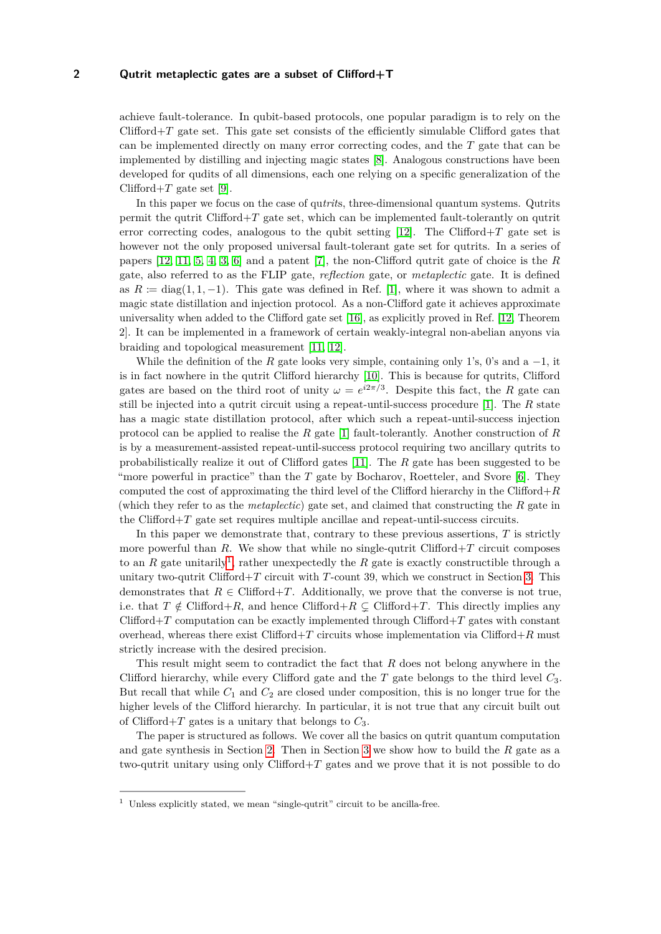achieve fault-tolerance. In qubit-based protocols, one popular paradigm is to rely on the Clifford+*T* gate set. This gate set consists of the efficiently simulable Clifford gates that can be implemented directly on many error correcting codes, and the *T* gate that can be implemented by distilling and injecting magic states [\[8\]](#page-10-0). Analogous constructions have been developed for qudits of all dimensions, each one relying on a specific generalization of the Clifford $+T$  gate set [\[9\]](#page-10-1).

In this paper we focus on the case of qu*trit*s, three-dimensional quantum systems. Qutrits permit the qutrit Clifford+*T* gate set, which can be implemented fault-tolerantly on qutrit error correcting codes, analogous to the qubit setting  $[12]$ . The Clifford $+T$  gate set is however not the only proposed universal fault-tolerant gate set for qutrits. In a series of papers [\[12,](#page-10-2) [11,](#page-10-3) [5,](#page-10-4) [4,](#page-10-5) [3,](#page-10-6) [6\]](#page-10-7) and a patent [\[7\]](#page-10-8), the non-Clifford qutrit gate of choice is the *R* gate, also referred to as the FLIP gate, *reflection* gate, or *metaplectic* gate. It is defined as  $R := diag(1, 1, -1)$ . This gate was defined in Ref. [\[1\]](#page-10-9), where it was shown to admit a magic state distillation and injection protocol. As a non-Clifford gate it achieves approximate universality when added to the Clifford gate set [\[16\]](#page-11-1), as explicitly proved in Ref. [\[12,](#page-10-2) Theorem 2]. It can be implemented in a framework of certain weakly-integral non-abelian anyons via braiding and topological measurement [\[11,](#page-10-3) [12\]](#page-10-2).

While the definition of the  $R$  gate looks very simple, containing only 1's, 0's and a  $-1$ , it is in fact nowhere in the qutrit Clifford hierarchy [\[10\]](#page-10-10). This is because for qutrits, Clifford gates are based on the third root of unity  $\omega = e^{i2\pi/3}$ . Despite this fact, the *R* gate can still be injected into a qutrit circuit using a repeat-until-success procedure [\[1\]](#page-10-9). The *R* state has a magic state distillation protocol, after which such a repeat-until-success injection protocol can be applied to realise the *R* gate [\[1\]](#page-10-9) fault-tolerantly. Another construction of *R* is by a measurement-assisted repeat-until-success protocol requiring two ancillary qutrits to probabilistically realize it out of Clifford gates [\[11\]](#page-10-3). The *R* gate has been suggested to be "more powerful in practice" than the *T* gate by Bocharov, Roetteler, and Svore [\[6\]](#page-10-7). They computed the cost of approximating the third level of the Clifford hierarchy in the Clifford+*R* (which they refer to as the *metaplectic*) gate set, and claimed that constructing the *R* gate in the Clifford+*T* gate set requires multiple ancillae and repeat-until-success circuits.

In this paper we demonstrate that, contrary to these previous assertions, *T* is strictly more powerful than  $R$ . We show that while no single-qutrit Clifford $+T$  circuit composes to an  $R$  gate unitarily<sup>[1](#page-1-0)</sup>, rather unexpectedly the  $R$  gate is exactly constructible through a unitary two-qutrit Clifford+*T* circuit with *T*-count 39, which we construct in Section [3.](#page-7-0) This demonstrates that  $R \in \text{Clifford}+T$ . Additionally, we prove that the converse is not true, i.e. that  $T \notin \text{Clifford} + R$ , and hence  $\text{Clifford} + R \subsetneq \text{Clifford} + T$ . This directly implies any Clifford+*T* computation can be exactly implemented through Clifford+*T* gates with constant overhead, whereas there exist Clifford+*T* circuits whose implementation via Clifford+*R* must strictly increase with the desired precision.

This result might seem to contradict the fact that *R* does not belong anywhere in the Clifford hierarchy, while every Clifford gate and the *T* gate belongs to the third level *C*3. But recall that while *C*<sup>1</sup> and *C*<sup>2</sup> are closed under composition, this is no longer true for the higher levels of the Clifford hierarchy. In particular, it is not true that any circuit built out of Clifford+*T* gates is a unitary that belongs to  $C_3$ .

The paper is structured as follows. We cover all the basics on qutrit quantum computation and gate synthesis in Section [2.](#page-2-0) Then in Section [3](#page-7-0) we show how to build the *R* gate as a two-qutrit unitary using only Clifford+*T* gates and we prove that it is not possible to do

<span id="page-1-0"></span><sup>&</sup>lt;sup>1</sup> Unless explicitly stated, we mean "single-qutrit" circuit to be ancilla-free.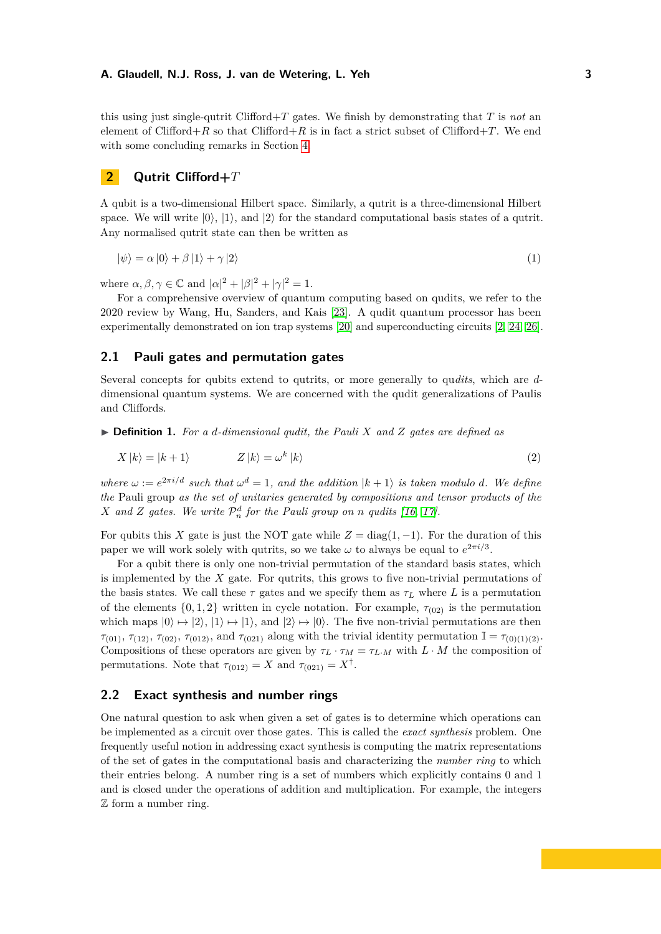this using just single-qutrit Clifford+ $T$  gates. We finish by demonstrating that  $T$  is *not* an element of Clifford+*R* so that Clifford+*R* is in fact a strict subset of Clifford+*T*. We end with some concluding remarks in Section [4.](#page-9-0)

# <span id="page-2-0"></span>**2 Qutrit Clifford+***T*

A qubit is a two-dimensional Hilbert space. Similarly, a qutrit is a three-dimensional Hilbert space. We will write  $|0\rangle$ ,  $|1\rangle$ , and  $|2\rangle$  for the standard computational basis states of a qutrit. Any normalised qutrit state can then be written as

$$
|\psi\rangle = \alpha |0\rangle + \beta |1\rangle + \gamma |2\rangle \tag{1}
$$

where  $\alpha, \beta, \gamma \in \mathbb{C}$  and  $|\alpha|^2 + |\beta|^2 + |\gamma|^2 = 1$ .

For a comprehensive overview of quantum computing based on qudits, we refer to the 2020 review by Wang, Hu, Sanders, and Kais [\[23\]](#page-11-0). A qudit quantum processor has been experimentally demonstrated on ion trap systems [\[20\]](#page-11-2) and superconducting circuits [\[2,](#page-10-11) [24,](#page-11-3) [26\]](#page-11-4).

# **2.1 Pauli gates and permutation gates**

Several concepts for qubits extend to qutrits, or more generally to qu*dits*, which are *d*dimensional quantum systems. We are concerned with the qudit generalizations of Paulis and Cliffords.

▶ **Definition 1.** *For a d-dimensional qudit, the Pauli X and Z gates are defined as*

$$
X|k\rangle = |k+1\rangle \qquad Z|k\rangle = \omega^k|k\rangle \tag{2}
$$

*where*  $\omega := e^{2\pi i/d}$  *such that*  $\omega^d = 1$ *, and the addition*  $|k+1\rangle$  *is taken modulo d. We define the* Pauli group *as the set of unitaries generated by compositions and tensor products of the X* and *Z* gates. We write  $P_n^d$  for the Pauli group on *n qudits* [\[16,](#page-11-1) [17\]](#page-11-5).

For qubits this *X* gate is just the NOT gate while  $Z = diag(1, -1)$ . For the duration of this paper we will work solely with qutrits, so we take  $\omega$  to always be equal to  $e^{2\pi i/3}$ .

For a qubit there is only one non-trivial permutation of the standard basis states, which is implemented by the *X* gate. For qutrits, this grows to five non-trivial permutations of the basis states. We call these  $\tau$  gates and we specify them as  $\tau_L$  where *L* is a permutation of the elements  $\{0, 1, 2\}$  written in cycle notation. For example,  $\tau_{(02)}$  is the permutation which maps  $|0\rangle \mapsto |2\rangle, |1\rangle \mapsto |1\rangle$ , and  $|2\rangle \mapsto |0\rangle$ . The five non-trivial permutations are then *τ*<sub>(01)</sub>, *τ*<sub>(12)</sub>, *τ*<sub>(02)</sub>, *τ*<sub>(012)</sub>, and *τ*<sub>(021)</sub> along with the trivial identity permutation  $\mathbb{I} = \tau_{(0)(1)(2)}$ . Compositions of these operators are given by  $\tau_L \cdot \tau_M = \tau_{L} \cdot M$  with  $L \cdot M$  the composition of permutations. Note that  $\tau_{(012)} = X$  and  $\tau_{(021)} = X^{\dagger}$ .

## **2.2 Exact synthesis and number rings**

One natural question to ask when given a set of gates is to determine which operations can be implemented as a circuit over those gates. This is called the *exact synthesis* problem. One frequently useful notion in addressing exact synthesis is computing the matrix representations of the set of gates in the computational basis and characterizing the *number ring* to which their entries belong. A number ring is a set of numbers which explicitly contains 0 and 1 and is closed under the operations of addition and multiplication. For example, the integers Z form a number ring.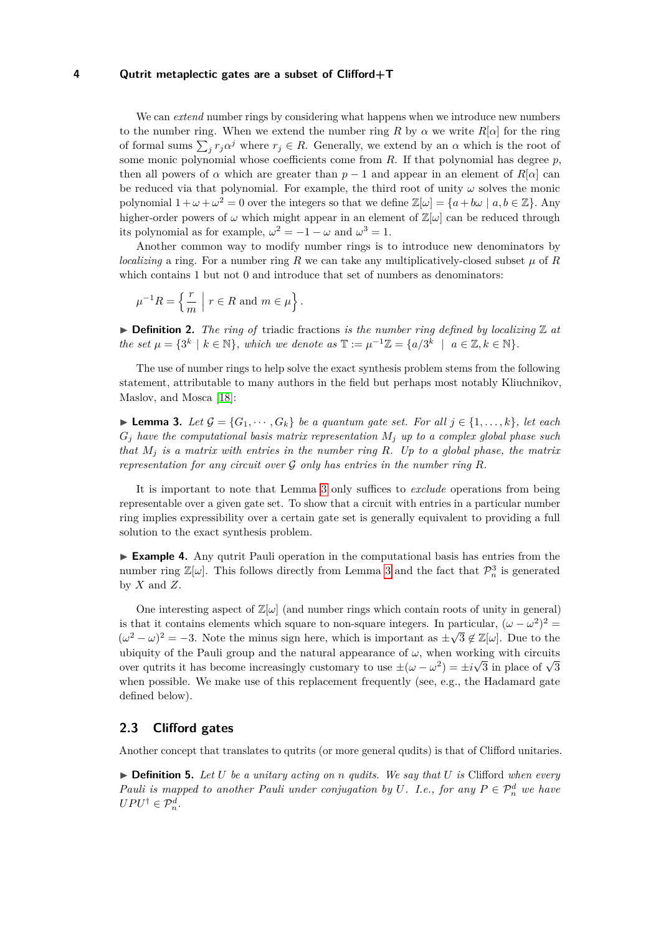We can *extend* number rings by considering what happens when we introduce new numbers to the number ring. When we extend the number ring *R* by  $\alpha$  we write  $R[\alpha]$  for the ring of formal sums  $\sum_j r_j \alpha^j$  where  $r_j \in R$ . Generally, we extend by an  $\alpha$  which is the root of some monic polynomial whose coefficients come from *R*. If that polynomial has degree *p*, then all powers of  $\alpha$  which are greater than  $p-1$  and appear in an element of  $R[\alpha]$  can be reduced via that polynomial. For example, the third root of unity  $\omega$  solves the monic polynomial  $1 + \omega + \omega^2 = 0$  over the integers so that we define  $\mathbb{Z}[\omega] = \{a + b\omega \mid a, b \in \mathbb{Z}\}\.$  Any higher-order powers of  $\omega$  which might appear in an element of  $\mathbb{Z}[\omega]$  can be reduced through its polynomial as for example,  $\omega^2 = -1 - \omega$  and  $\omega^3 = 1$ .

Another common way to modify number rings is to introduce new denominators by *localizing* a ring. For a number ring *R* we can take any multiplicatively-closed subset  $\mu$  of *R* which contains 1 but not 0 and introduce that set of numbers as denominators:

$$
\mu^{-1}R = \left\{ \frac{r}{m} \mid r \in R \text{ and } m \in \mu \right\}.
$$

 $\triangleright$  **Definition 2.** The ring of triadic fractions is the number ring defined by localizing  $\mathbb{Z}$  at *the set*  $\mu = \{3^k \mid k \in \mathbb{N}\},\$  which we denote as  $\mathbb{T} := \mu^{-1}\mathbb{Z} = \{a/3^k \mid a \in \mathbb{Z}, k \in \mathbb{N}\}.$ 

The use of number rings to help solve the exact synthesis problem stems from the following statement, attributable to many authors in the field but perhaps most notably Kliuchnikov, Maslov, and Mosca [\[18\]](#page-11-6):

<span id="page-3-0"></span>▶ **Lemma 3.** *Let*  $\mathcal{G} = \{G_1, \dots, G_k\}$  *be a quantum gate set. For all*  $j \in \{1, \dots, k\}$ *, let each*  $G_j$  *have the computational basis matrix representation*  $M_j$  *up to a complex global phase such that M<sup>j</sup> is a matrix with entries in the number ring R. Up to a global phase, the matrix representation for any circuit over*  $\mathcal G$  *only has entries in the number ring*  $R$ *.* 

It is important to note that Lemma [3](#page-3-0) only suffices to *exclude* operations from being representable over a given gate set. To show that a circuit with entries in a particular number ring implies expressibility over a certain gate set is generally equivalent to providing a full solution to the exact synthesis problem.

▶ **Example 4.** Any qutrit Pauli operation in the computational basis has entries from the number ring  $\mathbb{Z}[\omega]$ . This follows directly from Lemma [3](#page-3-0) and the fact that  $\mathcal{P}_n^3$  is generated by  $X$  and  $Z$ .

One interesting aspect of  $\mathbb{Z}[\omega]$  (and number rings which contain roots of unity in general) is that it contains elements which square to non-square integers. In particular,  $(\omega - \omega^2)^2 =$  $(\omega^2 - \omega)^2 = -3$ . Note the minus sign here, which is important as  $\pm \sqrt{3} \notin \mathbb{Z}[\omega]$ . Due to the ubiquity of the Pauli group and the natural appearance of  $\omega$ , when working with circuits over qutrits it has become increasingly customary to use  $\pm(\omega-\omega^2) = \pm i\sqrt{3}$  in place of  $\sqrt{3}$ when possible. We make use of this replacement frequently (see, e.g., the Hadamard gate defined below).

# **2.3 Clifford gates**

Another concept that translates to qutrits (or more general qudits) is that of Clifford unitaries.

▶ **Definition 5.** *Let U be a unitary acting on n qudits. We say that U is* Clifford *when every Pauli is mapped to another Pauli under conjugation by U. I.e., for any*  $P \in \mathcal{P}_n^d$  *we have*  $UPU^{\dagger} \in \mathcal{P}_n^d$ .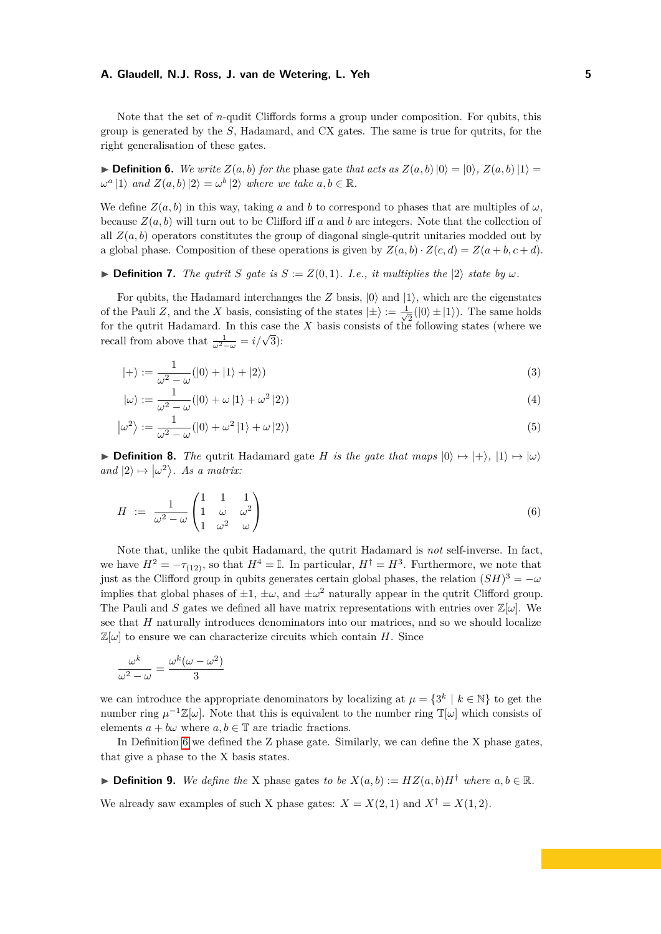Note that the set of *n*-qudit Cliffords forms a group under composition. For qubits, this group is generated by the *S*, Hadamard, and CX gates. The same is true for qutrits, for the right generalisation of these gates.

<span id="page-4-0"></span>▶ **Definition 6.** *We write*  $Z(a, b)$  *for the* phase gate *that acts as*  $Z(a, b)$   $|0\rangle = |0\rangle$ *,*  $Z(a, b)$   $|1\rangle =$  $\omega^a$  |1) *and*  $Z(a, b)$  |2) =  $\omega^b$  |2) *where we take*  $a, b \in \mathbb{R}$ *.* 

We define  $Z(a, b)$  in this way, taking a and b to correspond to phases that are multiples of  $\omega$ , because  $Z(a, b)$  will turn out to be Clifford iff *a* and *b* are integers. Note that the collection of all  $Z(a, b)$  operators constitutes the group of diagonal single-qutrit unitaries modded out by a global phase. Composition of these operations is given by  $Z(a, b) \cdot Z(c, d) = Z(a + b, c + d)$ .

▶ **Definition 7.** *The qutrit S gate is*  $S := Z(0,1)$ *. I.e., it multiplies the*  $|2\rangle$  *state by*  $\omega$ *.* 

For qubits, the Hadamard interchanges the  $Z$  basis,  $|0\rangle$  and  $|1\rangle$ , which are the eigenstates of the Pauli *Z*, and the *X* basis, consisting of the states  $|\pm\rangle := \frac{1}{\sqrt{2}}$  $\frac{1}{2}(|0\rangle \pm |1\rangle)$ . The same holds for the qutrit Hadamard. In this case the  $X$  basis consists of the following states (where we recall from above that  $\frac{1}{\omega^2 - \omega} = i/\sqrt{3}$ :

$$
|+\rangle := \frac{1}{\omega^2 - \omega} (|0\rangle + |1\rangle + |2\rangle)
$$
\n(3)

$$
|\omega\rangle := \frac{1}{\omega^2 - \omega} (|0\rangle + \omega |1\rangle + \omega^2 |2\rangle)
$$
\n(4)

$$
|\omega^2\rangle := \frac{1}{\omega^2 - \omega} (|0\rangle + \omega^2 |1\rangle + \omega |2\rangle)
$$
\n(5)

**• Definition 8.** *The* qutrit Hadamard gate *H* is the gate that maps  $|0\rangle \mapsto |+\rangle$ ,  $|1\rangle \mapsto |\omega\rangle$ *and*  $|2\rangle \mapsto |\omega^2\rangle$ . *As a matrix:* 

$$
H := \frac{1}{\omega^2 - \omega} \begin{pmatrix} 1 & 1 & 1 \\ 1 & \omega & \omega^2 \\ 1 & \omega^2 & \omega \end{pmatrix}
$$
 (6)

Note that, unlike the qubit Hadamard, the qutrit Hadamard is *not* self-inverse. In fact, we have  $H^2 = -\tau_{(12)}$ , so that  $H^4 = \mathbb{I}$ . In particular,  $H^{\dagger} = H^3$ . Furthermore, we note that just as the Clifford group in qubits generates certain global phases, the relation  $(SH)^3 = -\omega$ implies that global phases of  $\pm 1$ ,  $\pm \omega$ , and  $\pm \omega^2$  naturally appear in the qutrit Clifford group. The Pauli and *S* gates we defined all have matrix representations with entries over  $\mathbb{Z}[\omega]$ . We see that *H* naturally introduces denominators into our matrices, and so we should localize  $\mathbb{Z}[\omega]$  to ensure we can characterize circuits which contain *H*. Since

$$
\frac{\omega^k}{\omega^2 - \omega} = \frac{\omega^k(\omega - \omega^2)}{3}
$$

we can introduce the appropriate denominators by localizing at  $\mu = \{3^k \mid k \in \mathbb{N}\}\)$  to get the number ring  $\mu^{-1}\mathbb{Z}[\omega]$ . Note that this is equivalent to the number ring  $\mathbb{T}[\omega]$  which consists of elements  $a + b\omega$  where  $a, b \in \mathbb{T}$  are triadic fractions.

In Definition [6](#page-4-0) we defined the Z phase gate. Similarly, we can define the X phase gates, that give a phase to the X basis states.

<span id="page-4-1"></span>▶ **Definition 9.** *We define the* X phase gates *to be*  $X(a, b) := HZ(a, b)H^{\dagger}$  *where*  $a, b \in \mathbb{R}$ *.* 

We already saw examples of such X phase gates:  $X = X(2, 1)$  and  $X^{\dagger} = X(1, 2)$ .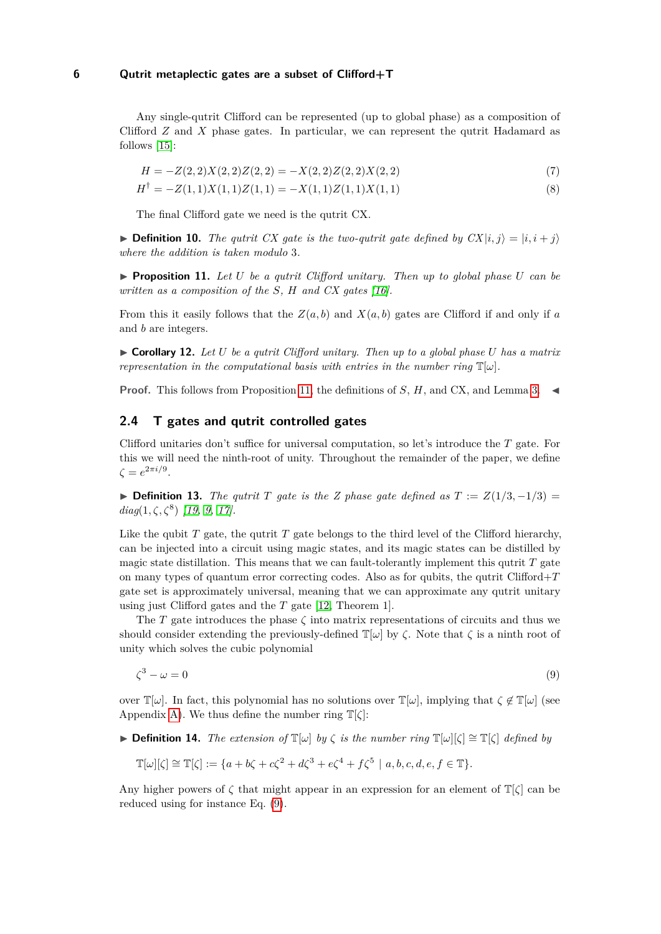Any single-qutrit Clifford can be represented (up to global phase) as a composition of Clifford *Z* and *X* phase gates. In particular, we can represent the qutrit Hadamard as follows [\[15\]](#page-11-7):

<span id="page-5-2"></span>
$$
H = -Z(2,2)X(2,2)Z(2,2) = -X(2,2)Z(2,2)X(2,2)
$$
\n(7)

$$
H^{\dagger} = -Z(1,1)X(1,1)Z(1,1) = -X(1,1)Z(1,1)X(1,1)
$$
\n(8)

The final Clifford gate we need is the qutrit CX.

▶ **Definition 10.** *The qutrit CX gate is the two-qutrit gate defined by*  $CX|i, j⟩ = |i, i + j⟩$ *where the addition is taken modulo* 3*.*

<span id="page-5-0"></span> $\triangleright$  **Proposition 11.** Let U be a qutrit Clifford unitary. Then up to global phase U can be *written as a composition of the S, H and CX gates [\[16\]](#page-11-1).*

From this it easily follows that the  $Z(a, b)$  and  $X(a, b)$  gates are Clifford if and only if *a* and *b* are integers.

 $\triangleright$  **Corollary 12.** Let U be a qutrit Clifford unitary. Then up to a global phase U has a matrix *representation in the computational basis with entries in the number ring*  $\mathbb{T}[\omega]$ *.* 

**Proof.** This follows from Proposition [11,](#page-5-0) the definitions of *S*, *H*, and CX, and Lemma [3.](#page-3-0) ◀

# **2.4 T gates and qutrit controlled gates**

Clifford unitaries don't suffice for universal computation, so let's introduce the *T* gate. For this we will need the ninth-root of unity. Throughout the remainder of the paper, we define  $ζ = e^{2π*i*/9}.$ 

▶ **Definition 13.** *The qutrit T gate is the Z phase gate defined as*  $T := Z(1/3, -1/3) =$ *diag*(1*, ζ, ζ*<sup>8</sup> ) *[\[19,](#page-11-8) [9,](#page-10-1) [17\]](#page-11-5).*

Like the qubit *T* gate, the qutrit *T* gate belongs to the third level of the Clifford hierarchy, can be injected into a circuit using magic states, and its magic states can be distilled by magic state distillation. This means that we can fault-tolerantly implement this qutrit *T* gate on many types of quantum error correcting codes. Also as for qubits, the qutrit Clifford+*T* gate set is approximately universal, meaning that we can approximate any qutrit unitary using just Clifford gates and the *T* gate [\[12,](#page-10-2) Theorem 1].

The *T* gate introduces the phase  $\zeta$  into matrix representations of circuits and thus we should consider extending the previously-defined  $\mathbb{T}[\omega]$  by  $\zeta$ . Note that  $\zeta$  is a ninth root of unity which solves the cubic polynomial

<span id="page-5-1"></span>
$$
\zeta^3 - \omega = 0 \tag{9}
$$

over  $\mathbb{T}[\omega]$ . In fact, this polynomial has no solutions over  $\mathbb{T}[\omega]$ , implying that  $\zeta \notin \mathbb{T}[\omega]$  (see Appendix [A\)](#page-11-9). We thus define the number ring  $\mathbb{T}[\zeta]$ :

▶ **Definition 14.** *The extension of*  $\mathbb{T}[\omega]$  *by*  $\zeta$  *is the number ring*  $\mathbb{T}[\omega][\zeta] \cong \mathbb{T}[\zeta]$  *defined by* 

$$
\mathbb{T}[\omega][\zeta] \cong \mathbb{T}[\zeta] := \{a + b\zeta + c\zeta^2 + d\zeta^3 + e\zeta^4 + f\zeta^5 \mid a, b, c, d, e, f \in \mathbb{T}\}.
$$

Any higher powers of  $\zeta$  that might appear in an expression for an element of  $\mathbb{T}[\zeta]$  can be reduced using for instance Eq. [\(9\)](#page-5-1).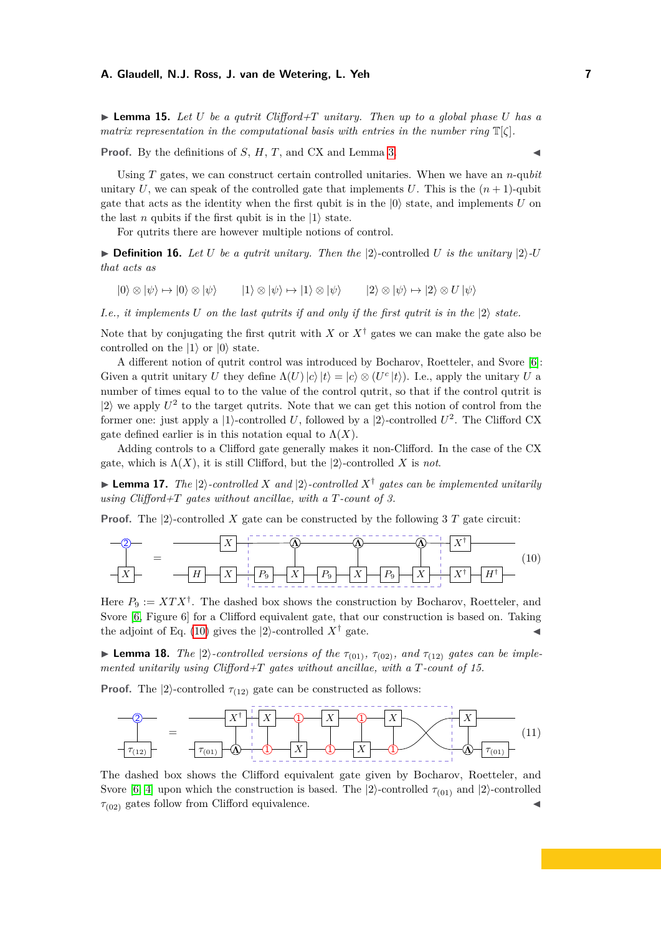$\blacktriangleright$  **Lemma 15.** Let U be a qutrit Clifford+T unitary. Then up to a global phase U has a *matrix representation in the computational basis with entries in the number ring* T[*ζ*]*.*

**Proof.** By the definitions of  $S$ ,  $H$ ,  $T$ , and CX and Lemma [3.](#page-3-0)

Using *T* gates, we can construct certain controlled unitaries. When we have an *n*-qu*bit* unitary U, we can speak of the controlled gate that implements U. This is the  $(n + 1)$ -qubit gate that acts as the identity when the first qubit is in the  $|0\rangle$  state, and implements  $U$  on the last *n* qubits if the first qubit is in the  $|1\rangle$  state.

For qutrits there are however multiple notions of control.

▶ **Definition 16.** *Let U be a qutrit unitary. Then the*  $|2\rangle$ -controlled *U is the unitary*  $|2\rangle$ *-U that acts as*

 $|0\rangle \otimes |\psi\rangle \mapsto |0\rangle \otimes |\psi\rangle$   $|1\rangle \otimes |\psi\rangle \mapsto |1\rangle \otimes |\psi\rangle$   $|2\rangle \otimes |\psi\rangle \mapsto |2\rangle \otimes U |\psi\rangle$ 

*I.e., it implements U on the last qutrits if and only if the first qutrit is in the* |2⟩ *state.*

Note that by conjugating the first qutrit with *X* or  $X^{\dagger}$  gates we can make the gate also be controlled on the  $|1\rangle$  or  $|0\rangle$  state.

A different notion of qutrit control was introduced by Bocharov, Roetteler, and Svore [\[6\]](#page-10-7): Given a qutrit unitary *U* they define  $\Lambda(U) |c\rangle |t\rangle = |c\rangle \otimes (U^c |t\rangle)$ . I.e., apply the unitary *U* a number of times equal to to the value of the control qutrit, so that if the control qutrit is  $|2\rangle$  we apply  $U^2$  to the target qutrits. Note that we can get this notion of control from the former one: just apply a |1⟩-controlled *U*, followed by a |2⟩-controlled *U* 2 . The Clifford CX gate defined earlier is in this notation equal to  $\Lambda(X)$ .

Adding controls to a Clifford gate generally makes it non-Clifford. In the case of the CX gate, which is  $\Lambda(X)$ , it is still Clifford, but the  $|2\rangle$ -controlled X is not.

▶ **Lemma 17.** *The*  $|2\rangle$ *-controlled X* and  $|2\rangle$ *-controlled*  $X^{\dagger}$  gates can be implemented unitarily *using Clifford+T gates without ancillae, with a T-count of 3.*

<span id="page-6-0"></span>**Proof.** The  $|2\rangle$ -controlled X gate can be constructed by the following 3 T gate circuit:



Here  $P_9 := XTX^{\dagger}$ . The dashed box shows the construction by Bocharov, Roetteler, and Svore [\[6,](#page-10-7) Figure 6] for a Clifford equivalent gate, that our construction is based on. Taking the adjoint of Eq. [\(10\)](#page-6-0) gives the  $|2\rangle$ -controlled  $X^{\dagger}$  gate.

▶ **Lemma 18.** *The*  $|2\rangle$ -controlled versions of the  $\tau_{(01)}$ ,  $\tau_{(02)}$ , and  $\tau_{(12)}$  gates can be imple*mented unitarily using Clifford+T gates without ancillae, with a T-count of 15.*

**Proof.** The  $|2\rangle$ -controlled  $\tau_{(12)}$  gate can be constructed as follows:

<span id="page-6-1"></span>

The dashed box shows the Clifford equivalent gate given by Bocharov, Roetteler, and Svore [\[6,](#page-10-7) [4\]](#page-10-5) upon which the construction is based. The  $|2\rangle$ -controlled  $\tau_{(01)}$  and  $|2\rangle$ -controlled  $\tau_{(02)}$  gates follow from Clifford equivalence.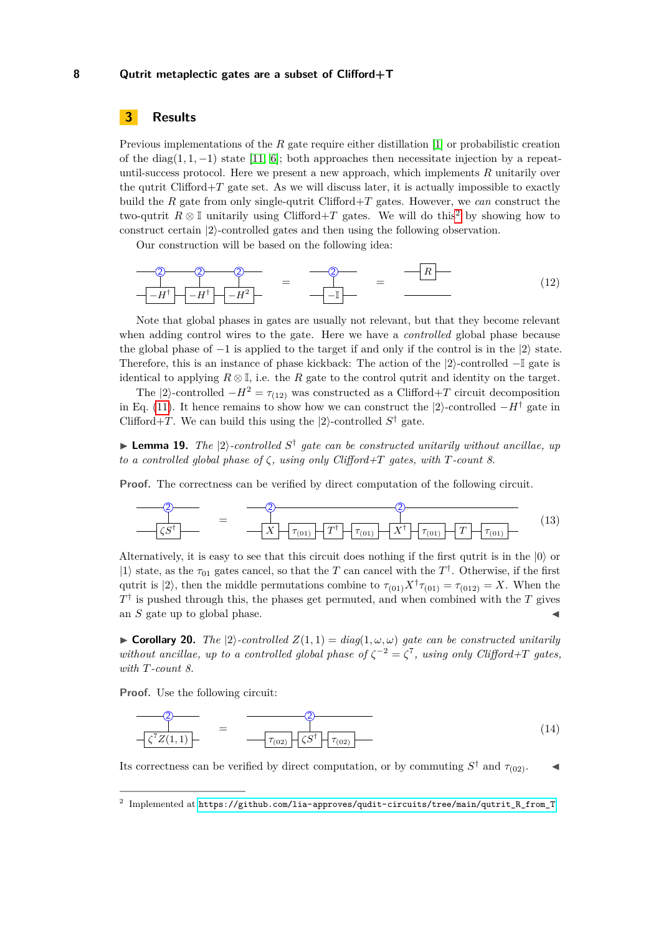# <span id="page-7-0"></span>**3 Results**

Previous implementations of the *R* gate require either distillation [\[1\]](#page-10-9) or probabilistic creation of the diag(1, 1, -1) state [\[11,](#page-10-3) [6\]](#page-10-7); both approaches then necessitate injection by a repeatuntil-success protocol. Here we present a new approach, which implements *R* unitarily over the qutrit Clifford $+T$  gate set. As we will discuss later, it is actually impossible to exactly build the *R* gate from only single-qutrit Clifford+*T* gates. However, we *can* construct the two-qutrit  $R \otimes \mathbb{I}$  unitarily using Clifford+T gates. We will do this<sup>[2](#page-7-1)</sup> by showing how to construct certain |2⟩-controlled gates and then using the following observation.

<span id="page-7-3"></span>Our construction will be based on the following idea:

$$
\begin{array}{c|c}\n\hline\n2 & 2 & 2 \\
\hline\n-\begin{array}{c|c}\n-H^{\dagger} & -H^{\dagger}\n\end{array}\n\end{array} = \begin{array}{c}\n\hline\n2 & 2 & 2 \\
\hline\n-\begin{array}{c|c}\n\hline\n-\end{array}\n\end{array} = \begin{array}{c}\n\hline\n\end{array}
$$
\n(12)

Note that global phases in gates are usually not relevant, but that they become relevant when adding control wires to the gate. Here we have a *controlled* global phase because the global phase of  $-1$  is applied to the target if and only if the control is in the  $|2\rangle$  state. Therefore, this is an instance of phase kickback: The action of the |2⟩-controlled −I gate is identical to applying  $R \otimes \mathbb{I}$ , i.e. the *R* gate to the control qutrit and identity on the target.

The  $|2\rangle$ -controlled  $-H^2 = \tau_{(12)}$  was constructed as a Clifford+*T* circuit decomposition in Eq. [\(11\)](#page-6-1). It hence remains to show how we can construct the  $|2\rangle$ -controlled  $-H^{\dagger}$  gate in Clifford+*T*. We can build this using the  $|2\rangle$ -controlled  $S^{\dagger}$  gate.

▶ **Lemma 19.** *The*  $|2\rangle$ -controlled  $S^{\dagger}$  gate can be constructed unitarily without ancillae, up *to a controlled global phase of ζ, using only Clifford+T gates, with T-count 8.*

**Proof.** The correctness can be verified by direct computation of the following circuit.

2 *ζS*† = *τ*(01) 2 *X* † *τ*(01) *τ*(01) *T* 2 *X T* † *τ*(01) (13)

Alternatively, it is easy to see that this circuit does nothing if the first qutrit is in the |0⟩ or  $|1\rangle$  state, as the  $\tau_{01}$  gates cancel, so that the *T* can cancel with the *T*<sup>†</sup>. Otherwise, if the first qutrit is  $|2\rangle$ , then the middle permutations combine to  $\tau_{(01)}X^{\dagger}\tau_{(01)} = \tau_{(012)} = X$ . When the  $T^{\dagger}$  is pushed through this, the phases get permuted, and when combined with the *T* gives an  $S$  gate up to global phase.

▶ **Corollary 20.** *The*  $|2\rangle$ *-controlled*  $Z(1,1) = diag(1,\omega,\omega)$  *gate can be constructed unitarily without ancillae, up to a controlled global phase of*  $\zeta^{-2} = \zeta^7$ , *using only Clifford+T gates, with T-count 8.*

**Proof.** Use the following circuit:

<span id="page-7-2"></span>
$$
\begin{array}{c}\n\begin{array}{c}\n\begin{array}{c}\n\begin{array}{c}\n\frac{1}{\sqrt{2}} \\
\frac{1}{\sqrt{2}} \\
\frac{1}{\sqrt{2}} \\
\frac{1}{\sqrt{2}} \\
\frac{1}{\sqrt{2}} \\
\frac{1}{\sqrt{2}} \\
\frac{1}{\sqrt{2}} \\
\frac{1}{\sqrt{2}} \\
\frac{1}{\sqrt{2}} \\
\frac{1}{\sqrt{2}} \\
\frac{1}{\sqrt{2}} \\
\frac{1}{\sqrt{2}} \\
\frac{1}{\sqrt{2}} \\
\frac{1}{\sqrt{2}} \\
\frac{1}{\sqrt{2}} \\
\frac{1}{\sqrt{2}} \\
\frac{1}{\sqrt{2}} \\
\frac{1}{\sqrt{2}} \\
\frac{1}{\sqrt{2}} \\
\frac{1}{\sqrt{2}} \\
\frac{1}{\sqrt{2}} \\
\frac{1}{\sqrt{2}} \\
\frac{1}{\sqrt{2}} \\
\frac{1}{\sqrt{2}} \\
\frac{1}{\sqrt{2}} \\
\frac{1}{\sqrt{2}} \\
\frac{1}{\sqrt{2}} \\
\frac{1}{\sqrt{2}} \\
\frac{1}{\sqrt{2}} \\
\frac{1}{\sqrt{2}} \\
\frac{1}{\sqrt{2}} \\
\frac{1}{\sqrt{2}} \\
\frac{1}{\sqrt{2}} \\
\frac{1}{\sqrt{2}} \\
\frac{1}{\sqrt{2}} \\
\frac{1}{\sqrt{2}} \\
\frac{1}{\sqrt{2}} \\
\frac{1}{\sqrt{2}} \\
\frac{1}{\sqrt{2}} \\
\frac{1}{\sqrt{2}} \\
\frac{1}{\sqrt{2}} \\
\frac{1}{\sqrt{2}} \\
\frac{1}{\sqrt{2}} \\
\frac{1}{\sqrt{2}} \\
\frac{1}{\sqrt{2}} \\
\frac{1}{\sqrt{2}} \\
\frac{1}{\sqrt{2}} \\
\frac{1}{\sqrt{2}} \\
\frac{1}{\sqrt{2}} \\
\frac{1}{\sqrt{2}} \\
\frac{1}{\sqrt{2}} \\
\frac{1}{\sqrt{2}} \\
\frac{1}{\sqrt{2}} \\
\frac{1}{\sqrt{2}} \\
\frac{1}{\sqrt{2}} \\
\frac{1}{\sqrt{2}} \\
\frac{1}{\sqrt{2}} \\
\frac{1}{\sqrt{2}} \\
\frac{1}{\sqrt{2}} \\
\frac{1}{\sqrt{2}} \\
\frac{1}{\sqrt{2}} \\
\frac{1}{\sqrt{2}} \\
\frac{1}{\sqrt{2}} \\
\frac{1}{\sqrt{2}} \\
\frac{1}{\sqrt{2}} \\
\frac{1}{\sqrt{2}} \\
\frac
$$

Its correctness can be verified by direct computation, or by commuting  $S^{\dagger}$  and  $\tau_{(02)}$ .

<span id="page-7-1"></span> $^2$  Implemented at <code>[https://github.com/lia-approves/qudit-circuits/tree/main/qutrit\\_R\\_from\\_T](https://github.com/lia-approves/qudit-circuits/tree/main/qutrit_R_from_T).</code>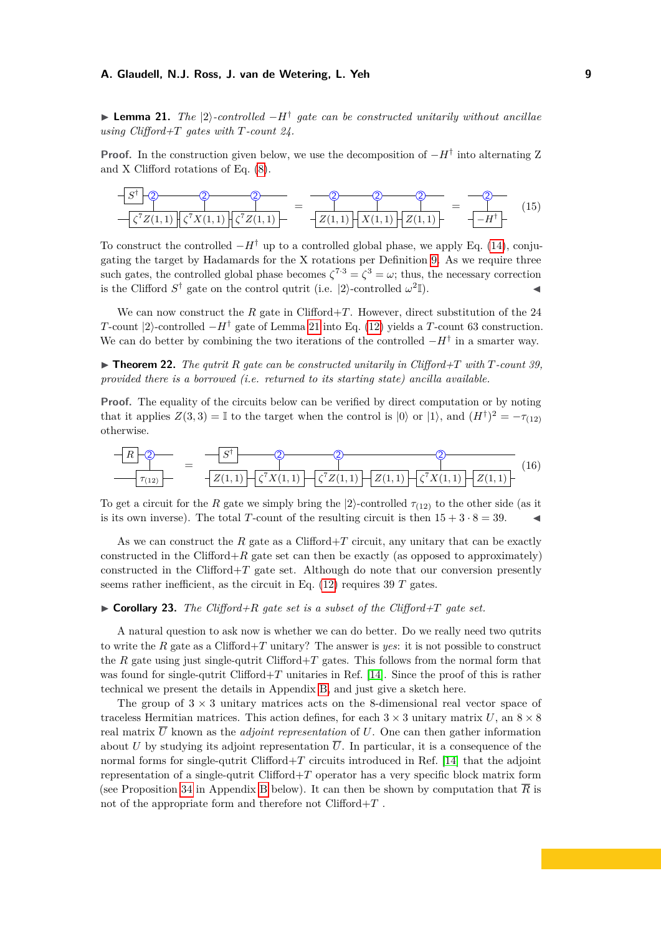<span id="page-8-0"></span>▶ **Lemma 21.** *The* |2⟩*-controlled* −*H*† *gate can be constructed unitarily without ancillae using Clifford+T gates with T-count 24.*

**Proof.** In the construction given below, we use the decomposition of  $-H^{\dagger}$  into alternating Z and X Clifford rotations of Eq. [\(8\)](#page-5-2).



To construct the controlled  $-H^{\dagger}$  up to a controlled global phase, we apply Eq. [\(14\)](#page-7-2), conjugating the target by Hadamards for the X rotations per Definition [9.](#page-4-1) As we require three such gates, the controlled global phase becomes  $\zeta^{7\cdot3} = \zeta^3 = \omega$ ; thus, the necessary correction is the Clifford  $S^{\dagger}$  gate on the control qutrit (i.e.  $|2\rangle$ -controlled  $\omega^2$  $\mathbb{I}$ ).

We can now construct the *R* gate in Clifford+*T*. However, direct substitution of the 24 *T*-count |2⟩-controlled −*H*† gate of Lemma [21](#page-8-0) into Eq. [\(12\)](#page-7-3) yields a *T*-count 63 construction. We can do better by combining the two iterations of the controlled  $-H^{\dagger}$  in a smarter way.

 $\blacktriangleright$  **Theorem 22.** *The qutrit R gate can be constructed unitarily in Clifford+T with T*-count 39. *provided there is a borrowed (i.e. returned to its starting state) ancilla available.*

**Proof.** The equality of the circuits below can be verified by direct computation or by noting that it applies  $Z(3,3) = \mathbb{I}$  to the target when the control is  $|0\rangle$  or  $|1\rangle$ , and  $(H^{\dagger})^2 = -\tau_{(12)}$ otherwise.



To get a circuit for the *R* gate we simply bring the  $|2\rangle$ -controlled  $\tau_{(12)}$  to the other side (as it is its own inverse). The total *T*-count of the resulting circuit is then  $15 + 3 \cdot 8 = 39$ .

As we can construct the  $R$  gate as a Clifford $+T$  circuit, any unitary that can be exactly constructed in the Clifford $+R$  gate set can then be exactly (as opposed to approximately) constructed in the Clifford $+T$  gate set. Although do note that our conversion presently seems rather inefficient, as the circuit in Eq. [\(12\)](#page-7-3) requires 39 *T* gates.

#### <span id="page-8-1"></span> $\triangleright$  **Corollary 23.** *The Clifford+R gate set is a subset of the Clifford+T gate set.*

A natural question to ask now is whether we can do better. Do we really need two qutrits to write the *R* gate as a Clifford+*T* unitary? The answer is *yes*: it is not possible to construct the *R* gate using just single-qutrit Clifford+*T* gates. This follows from the normal form that was found for single-qutrit Clifford+*T* unitaries in Ref. [\[14\]](#page-11-10). Since the proof of this is rather technical we present the details in Appendix [B,](#page-12-0) and just give a sketch here.

The group of  $3 \times 3$  unitary matrices acts on the 8-dimensional real vector space of traceless Hermitian matrices. This action defines, for each  $3 \times 3$  unitary matrix *U*, an  $8 \times 8$ real matrix  $\overline{U}$  known as the *adjoint representation* of  $U$ . One can then gather information about *U* by studying its adjoint representation  $\overline{U}$ . In particular, it is a consequence of the normal forms for single-qutrit Clifford+*T* circuits introduced in Ref. [\[14\]](#page-11-10) that the adjoint representation of a single-qutrit Clifford+*T* operator has a very specific block matrix form (see Proposition [34](#page-13-0) in Appendix [B](#page-12-0) below). It can then be shown by computation that  $\overline{R}$  is not of the appropriate form and therefore not Clifford+*T* .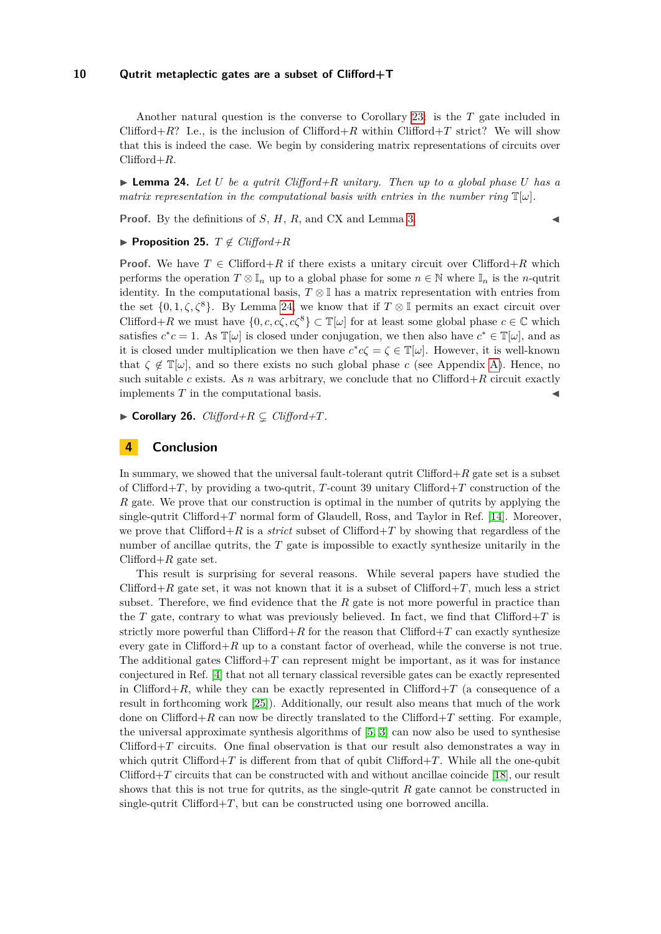Another natural question is the converse to Corollary [23:](#page-8-1) is the *T* gate included in Clifford+ $R$ ? I.e., is the inclusion of Clifford+ $R$  within Clifford+ $T$  strict? We will show that this is indeed the case. We begin by considering matrix representations of circuits over Clifford+*R*.

<span id="page-9-1"></span> $\blacktriangleright$  **Lemma 24.** Let U be a qutrit Clifford+R unitary. Then up to a global phase U has a *matrix representation in the computational basis with entries in the number ring*  $\mathbb{T}[\omega]$ *.* 

**Proof.** By the definitions of *S*, *H*, *R*, and CX and Lemma [3.](#page-3-0)

# ▶ **Proposition 25.** *T* ̸∈ *Clifford+R*

**Proof.** We have  $T \in \text{Clifford} + R$  if there exists a unitary circuit over Clifford+ $R$  which performs the operation  $T \otimes \mathbb{I}_n$  up to a global phase for some  $n \in \mathbb{N}$  where  $\mathbb{I}_n$  is the *n*-qutrit identity. In the computational basis,  $T \otimes \mathbb{I}$  has a matrix representation with entries from the set  $\{0, 1, \zeta, \zeta^8\}$ . By Lemma [24,](#page-9-1) we know that if  $T \otimes \mathbb{I}$  permits an exact circuit over Clifford+*R* we must have  $\{0, c, c\zeta, c\zeta^8\} \subset \mathbb{T}[\omega]$  for at least some global phase  $c \in \mathbb{C}$  which satisfies  $c^*c = 1$ . As  $\mathbb{T}[\omega]$  is closed under conjugation, we then also have  $c^* \in \mathbb{T}[\omega]$ , and as it is closed under multiplication we then have  $c^*c\zeta = \zeta \in \mathbb{T}[\omega]$ . However, it is well-known that  $\zeta \notin \mathbb{T}[\omega]$ , and so there exists no such global phase *c* (see Appendix [A\)](#page-11-9). Hence, no such suitable *c* exists. As *n* was arbitrary, we conclude that no Clifford+ $R$  circuit exactly implements *T* in the computational basis.

▶ **Corollary 26.**  $Clifford+R \subseteq Clifford+T$ *.* 

# <span id="page-9-0"></span>**4 Conclusion**

In summary, we showed that the universal fault-tolerant qutrit Clifford+*R* gate set is a subset of Clifford+*T*, by providing a two-qutrit, *T*-count 39 unitary Clifford+*T* construction of the *R* gate. We prove that our construction is optimal in the number of qutrits by applying the single-qutrit Clifford $+T$  normal form of Glaudell, Ross, and Taylor in Ref. [\[14\]](#page-11-10). Moreover, we prove that Clifford+*R* is a *strict* subset of Clifford+*T* by showing that regardless of the number of ancillae qutrits, the *T* gate is impossible to exactly synthesize unitarily in the Clifford $+R$  gate set.

This result is surprising for several reasons. While several papers have studied the Clifford $+R$  gate set, it was not known that it is a subset of Clifford $+T$ , much less a strict subset. Therefore, we find evidence that the *R* gate is not more powerful in practice than the *T* gate, contrary to what was previously believed. In fact, we find that Clifford+*T* is strictly more powerful than Clifford $+R$  for the reason that Clifford $+T$  can exactly synthesize every gate in Clifford $+R$  up to a constant factor of overhead, while the converse is not true. The additional gates  $Clifford+T$  can represent might be important, as it was for instance conjectured in Ref. [\[4\]](#page-10-5) that not all ternary classical reversible gates can be exactly represented in Clifford $+R$ , while they can be exactly represented in Clifford $+T$  (a consequence of a result in forthcoming work [\[25\]](#page-11-11)). Additionally, our result also means that much of the work done on Clifford $+R$  can now be directly translated to the Clifford $+T$  setting. For example, the universal approximate synthesis algorithms of [\[5,](#page-10-4) [3\]](#page-10-6) can now also be used to synthesise Clifford+*T* circuits. One final observation is that our result also demonstrates a way in which qutrit Clifford $+T$  is different from that of qubit Clifford $+T$ . While all the one-qubit Clifford+*T* circuits that can be constructed with and without ancillae coincide [\[18\]](#page-11-6), our result shows that this is not true for qutrits, as the single-qutrit *R* gate cannot be constructed in single-qutrit Clifford $+T$ , but can be constructed using one borrowed ancilla.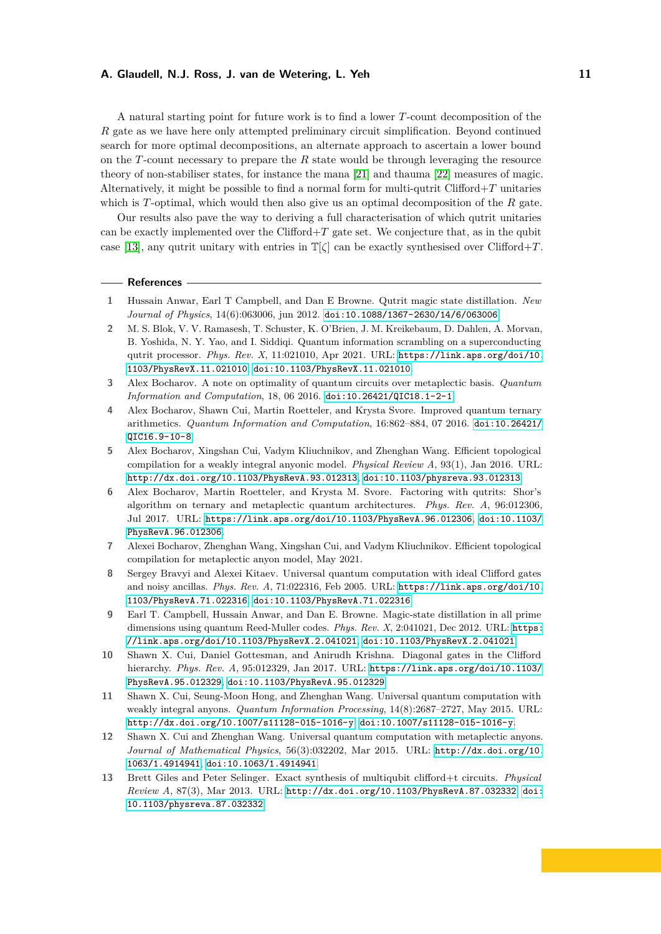A natural starting point for future work is to find a lower *T*-count decomposition of the *R* gate as we have here only attempted preliminary circuit simplification. Beyond continued search for more optimal decompositions, an alternate approach to ascertain a lower bound on the *T*-count necessary to prepare the *R* state would be through leveraging the resource theory of non-stabiliser states, for instance the mana [\[21\]](#page-11-12) and thauma [\[22\]](#page-11-13) measures of magic. Alternatively, it might be possible to find a normal form for multi-qutrit Clifford+*T* unitaries which is *T*-optimal, which would then also give us an optimal decomposition of the *R* gate.

Our results also pave the way to deriving a full characterisation of which qutrit unitaries can be exactly implemented over the Clifford+*T* gate set. We conjecture that, as in the qubit case [\[13\]](#page-10-12), any qutrit unitary with entries in  $\mathbb{T}[\zeta]$  can be exactly synthesised over Clifford+*T*.

#### **References**

- <span id="page-10-9"></span>**1** Hussain Anwar, Earl T Campbell, and Dan E Browne. Qutrit magic state distillation. *New Journal of Physics*, 14(6):063006, jun 2012. [doi:10.1088/1367-2630/14/6/063006](https://doi.org/10.1088/1367-2630/14/6/063006).
- <span id="page-10-11"></span>**2** M. S. Blok, V. V. Ramasesh, T. Schuster, K. O'Brien, J. M. Kreikebaum, D. Dahlen, A. Morvan, B. Yoshida, N. Y. Yao, and I. Siddiqi. Quantum information scrambling on a superconducting qutrit processor. *Phys. Rev. X*, 11:021010, Apr 2021. URL: [https://link.aps.org/doi/10.](https://link.aps.org/doi/10.1103/PhysRevX.11.021010) [1103/PhysRevX.11.021010](https://link.aps.org/doi/10.1103/PhysRevX.11.021010), [doi:10.1103/PhysRevX.11.021010](https://doi.org/10.1103/PhysRevX.11.021010).
- <span id="page-10-6"></span>**3** Alex Bocharov. A note on optimality of quantum circuits over metaplectic basis. *Quantum Information and Computation*, 18, 06 2016. [doi:10.26421/QIC18.1-2-1](https://doi.org/10.26421/QIC18.1-2-1).
- <span id="page-10-5"></span>**4** Alex Bocharov, Shawn Cui, Martin Roetteler, and Krysta Svore. Improved quantum ternary arithmetics. *Quantum Information and Computation*, 16:862–884, 07 2016. [doi:10.26421/](https://doi.org/10.26421/QIC16.9-10-8) [QIC16.9-10-8](https://doi.org/10.26421/QIC16.9-10-8).
- <span id="page-10-4"></span>**5** Alex Bocharov, Xingshan Cui, Vadym Kliuchnikov, and Zhenghan Wang. Efficient topological compilation for a weakly integral anyonic model. *Physical Review A*, 93(1), Jan 2016. URL: <http://dx.doi.org/10.1103/PhysRevA.93.012313>, [doi:10.1103/physreva.93.012313](https://doi.org/10.1103/physreva.93.012313).
- <span id="page-10-7"></span>**6** Alex Bocharov, Martin Roetteler, and Krysta M. Svore. Factoring with qutrits: Shor's algorithm on ternary and metaplectic quantum architectures. *Phys. Rev. A*, 96:012306, Jul 2017. URL: <https://link.aps.org/doi/10.1103/PhysRevA.96.012306>, [doi:10.1103/](https://doi.org/10.1103/PhysRevA.96.012306) [PhysRevA.96.012306](https://doi.org/10.1103/PhysRevA.96.012306).
- <span id="page-10-8"></span>**7** Alexei Bocharov, Zhenghan Wang, Xingshan Cui, and Vadym Kliuchnikov. Efficient topological compilation for metaplectic anyon model, May 2021.
- <span id="page-10-0"></span>**8** Sergey Bravyi and Alexei Kitaev. Universal quantum computation with ideal Clifford gates and noisy ancillas. *Phys. Rev. A*, 71:022316, Feb 2005. URL: [https://link.aps.org/doi/10.](https://link.aps.org/doi/10.1103/PhysRevA.71.022316) [1103/PhysRevA.71.022316](https://link.aps.org/doi/10.1103/PhysRevA.71.022316), [doi:10.1103/PhysRevA.71.022316](https://doi.org/10.1103/PhysRevA.71.022316).
- <span id="page-10-1"></span>**9** Earl T. Campbell, Hussain Anwar, and Dan E. Browne. Magic-state distillation in all prime dimensions using quantum Reed-Muller codes. *Phys. Rev. X*, 2:041021, Dec 2012. URL: [https:](https://link.aps.org/doi/10.1103/PhysRevX.2.041021) [//link.aps.org/doi/10.1103/PhysRevX.2.041021](https://link.aps.org/doi/10.1103/PhysRevX.2.041021), [doi:10.1103/PhysRevX.2.041021](https://doi.org/10.1103/PhysRevX.2.041021).
- <span id="page-10-10"></span>**10** Shawn X. Cui, Daniel Gottesman, and Anirudh Krishna. Diagonal gates in the Clifford hierarchy. *Phys. Rev. A*, 95:012329, Jan 2017. URL: [https://link.aps.org/doi/10.1103/](https://link.aps.org/doi/10.1103/PhysRevA.95.012329) [PhysRevA.95.012329](https://link.aps.org/doi/10.1103/PhysRevA.95.012329), [doi:10.1103/PhysRevA.95.012329](https://doi.org/10.1103/PhysRevA.95.012329).
- <span id="page-10-3"></span>**11** Shawn X. Cui, Seung-Moon Hong, and Zhenghan Wang. Universal quantum computation with weakly integral anyons. *Quantum Information Processing*, 14(8):2687–2727, May 2015. URL: <http://dx.doi.org/10.1007/s11128-015-1016-y>, [doi:10.1007/s11128-015-1016-y](https://doi.org/10.1007/s11128-015-1016-y).
- <span id="page-10-2"></span>**12** Shawn X. Cui and Zhenghan Wang. Universal quantum computation with metaplectic anyons. *Journal of Mathematical Physics*, 56(3):032202, Mar 2015. URL: [http://dx.doi.org/10.](http://dx.doi.org/10.1063/1.4914941) [1063/1.4914941](http://dx.doi.org/10.1063/1.4914941), [doi:10.1063/1.4914941](https://doi.org/10.1063/1.4914941).
- <span id="page-10-12"></span>**13** Brett Giles and Peter Selinger. Exact synthesis of multiqubit clifford+t circuits. *Physical Review A*, 87(3), Mar 2013. URL: <http://dx.doi.org/10.1103/PhysRevA.87.032332>, [doi:](https://doi.org/10.1103/physreva.87.032332) [10.1103/physreva.87.032332](https://doi.org/10.1103/physreva.87.032332).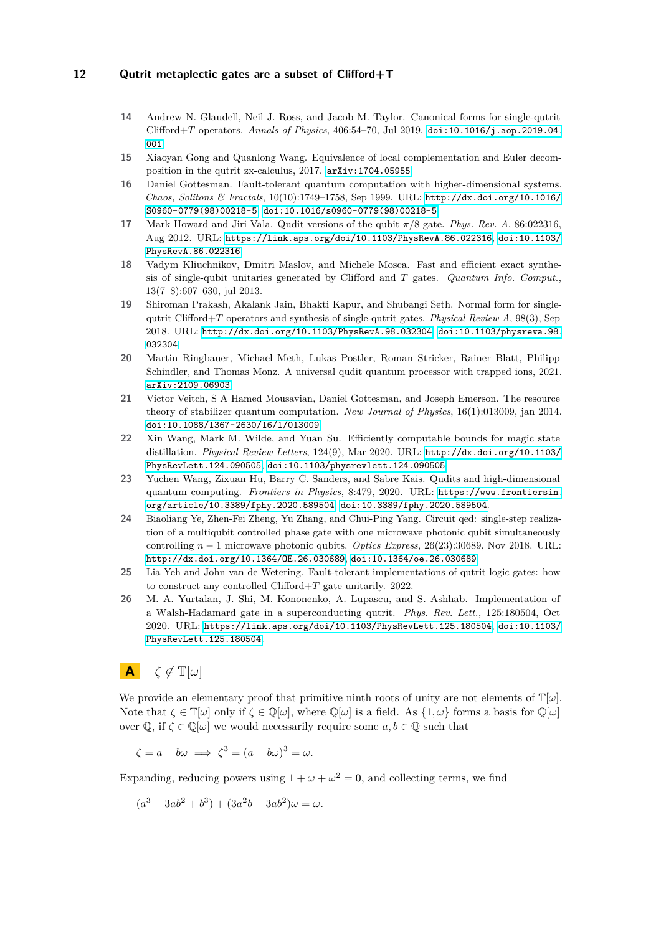- <span id="page-11-10"></span>**14** Andrew N. Glaudell, Neil J. Ross, and Jacob M. Taylor. Canonical forms for single-qutrit Clifford+*T* operators. *Annals of Physics*, 406:54–70, Jul 2019. [doi:10.1016/j.aop.2019.04.](https://doi.org/10.1016/j.aop.2019.04.001) [001](https://doi.org/10.1016/j.aop.2019.04.001).
- <span id="page-11-7"></span>**15** Xiaoyan Gong and Quanlong Wang. Equivalence of local complementation and Euler decomposition in the qutrit zx-calculus, 2017. [arXiv:1704.05955](http://arxiv.org/abs/1704.05955).
- <span id="page-11-1"></span>**16** Daniel Gottesman. Fault-tolerant quantum computation with higher-dimensional systems. *Chaos, Solitons & Fractals*, 10(10):1749–1758, Sep 1999. URL: [http://dx.doi.org/10.1016/](http://dx.doi.org/10.1016/S0960-0779(98)00218-5) [S0960-0779\(98\)00218-5](http://dx.doi.org/10.1016/S0960-0779(98)00218-5), [doi:10.1016/s0960-0779\(98\)00218-5](https://doi.org/10.1016/s0960-0779(98)00218-5).
- <span id="page-11-5"></span>**17** Mark Howard and Jiri Vala. Qudit versions of the qubit *π/*8 gate. *Phys. Rev. A*, 86:022316, Aug 2012. URL: <https://link.aps.org/doi/10.1103/PhysRevA.86.022316>, [doi:10.1103/](https://doi.org/10.1103/PhysRevA.86.022316) [PhysRevA.86.022316](https://doi.org/10.1103/PhysRevA.86.022316).
- <span id="page-11-6"></span>**18** Vadym Kliuchnikov, Dmitri Maslov, and Michele Mosca. Fast and efficient exact synthesis of single-qubit unitaries generated by Clifford and *T* gates. *Quantum Info. Comput.*, 13(7–8):607–630, jul 2013.
- <span id="page-11-8"></span>**19** Shiroman Prakash, Akalank Jain, Bhakti Kapur, and Shubangi Seth. Normal form for singlequtrit Clifford+*T* operators and synthesis of single-qutrit gates. *Physical Review A*, 98(3), Sep 2018. URL: <http://dx.doi.org/10.1103/PhysRevA.98.032304>, [doi:10.1103/physreva.98.](https://doi.org/10.1103/physreva.98.032304) [032304](https://doi.org/10.1103/physreva.98.032304).
- <span id="page-11-2"></span>**20** Martin Ringbauer, Michael Meth, Lukas Postler, Roman Stricker, Rainer Blatt, Philipp Schindler, and Thomas Monz. A universal qudit quantum processor with trapped ions, 2021. [arXiv:2109.06903](http://arxiv.org/abs/2109.06903).
- <span id="page-11-12"></span>**21** Victor Veitch, S A Hamed Mousavian, Daniel Gottesman, and Joseph Emerson. The resource theory of stabilizer quantum computation. *New Journal of Physics*, 16(1):013009, jan 2014. [doi:10.1088/1367-2630/16/1/013009](https://doi.org/10.1088/1367-2630/16/1/013009).
- <span id="page-11-13"></span>**22** Xin Wang, Mark M. Wilde, and Yuan Su. Efficiently computable bounds for magic state distillation. *Physical Review Letters*, 124(9), Mar 2020. URL: [http://dx.doi.org/10.1103/](http://dx.doi.org/10.1103/PhysRevLett.124.090505) [PhysRevLett.124.090505](http://dx.doi.org/10.1103/PhysRevLett.124.090505), [doi:10.1103/physrevlett.124.090505](https://doi.org/10.1103/physrevlett.124.090505).
- <span id="page-11-0"></span>**23** Yuchen Wang, Zixuan Hu, Barry C. Sanders, and Sabre Kais. Qudits and high-dimensional quantum computing. *Frontiers in Physics*, 8:479, 2020. URL: [https://www.frontiersin.](https://www.frontiersin.org/article/10.3389/fphy.2020.589504) [org/article/10.3389/fphy.2020.589504](https://www.frontiersin.org/article/10.3389/fphy.2020.589504), [doi:10.3389/fphy.2020.589504](https://doi.org/10.3389/fphy.2020.589504).
- <span id="page-11-3"></span>**24** Biaoliang Ye, Zhen-Fei Zheng, Yu Zhang, and Chui-Ping Yang. Circuit qed: single-step realization of a multiqubit controlled phase gate with one microwave photonic qubit simultaneously controlling *n* − 1 microwave photonic qubits. *Optics Express*, 26(23):30689, Nov 2018. URL: <http://dx.doi.org/10.1364/OE.26.030689>, [doi:10.1364/oe.26.030689](https://doi.org/10.1364/oe.26.030689).
- <span id="page-11-11"></span>**25** Lia Yeh and John van de Wetering. Fault-tolerant implementations of qutrit logic gates: how to construct any controlled Clifford+*T* gate unitarily. 2022.
- <span id="page-11-4"></span>**26** M. A. Yurtalan, J. Shi, M. Kononenko, A. Lupascu, and S. Ashhab. Implementation of a Walsh-Hadamard gate in a superconducting qutrit. *Phys. Rev. Lett.*, 125:180504, Oct 2020. URL: <https://link.aps.org/doi/10.1103/PhysRevLett.125.180504>, [doi:10.1103/](https://doi.org/10.1103/PhysRevLett.125.180504) [PhysRevLett.125.180504](https://doi.org/10.1103/PhysRevLett.125.180504).

# <span id="page-11-9"></span>**A** *ζ* ̸∈ T[*ω*]

We provide an elementary proof that primitive ninth roots of unity are not elements of  $\mathbb{T}[\omega]$ . Note that  $\zeta \in \mathbb{T}[\omega]$  only if  $\zeta \in \mathbb{Q}[\omega]$ , where  $\mathbb{Q}[\omega]$  is a field. As  $\{1, \omega\}$  forms a basis for  $\mathbb{Q}[\omega]$ over  $\mathbb{Q}$ , if  $\zeta \in \mathbb{Q}[\omega]$  we would necessarily require some  $a, b \in \mathbb{Q}$  such that

$$
\zeta = a + b\omega \implies \zeta^3 = (a + b\omega)^3 = \omega.
$$

Expanding, reducing powers using  $1 + \omega + \omega^2 = 0$ , and collecting terms, we find

 $(a^3 - 3ab^2 + b^3) + (3a^2b - 3ab^2)\omega = \omega.$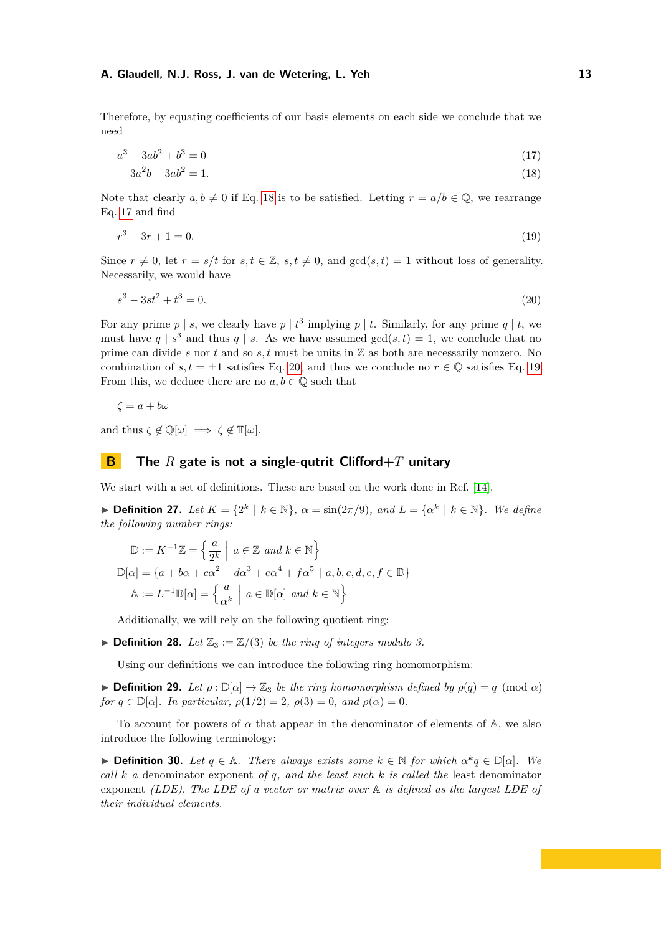Therefore, by equating coefficients of our basis elements on each side we conclude that we need

$$
a^3 - 3ab^2 + b^3 = 0 \tag{17}
$$

<span id="page-12-4"></span><span id="page-12-2"></span><span id="page-12-1"></span>
$$
3a^2b - 3ab^2 = 1.\t(18)
$$

Note that clearly  $a, b \neq 0$  if Eq. [18](#page-12-1) is to be satisfied. Letting  $r = a/b \in \mathbb{Q}$ , we rearrange Eq. [17](#page-12-2) and find

$$
r^3 - 3r + 1 = 0.\tag{19}
$$

Since  $r \neq 0$ , let  $r = s/t$  for  $s, t \in \mathbb{Z}$ ,  $s, t \neq 0$ , and  $gcd(s, t) = 1$  without loss of generality. Necessarily, we would have

<span id="page-12-3"></span>
$$
s^3 - 3st^2 + t^3 = 0.\tag{20}
$$

For any prime  $p \mid s$ , we clearly have  $p \mid t^3$  implying  $p \mid t$ . Similarly, for any prime  $q \mid t$ , we must have  $q \mid s^3$  and thus  $q \mid s$ . As we have assumed  $gcd(s,t) = 1$ , we conclude that no prime can divide *s* nor *t* and so *s, t* must be units in Z as both are necessarily nonzero. No combination of  $s, t = \pm 1$  satisfies Eq. [20,](#page-12-3) and thus we conclude no  $r \in \mathbb{Q}$  satisfies Eq. [19.](#page-12-4) From this, we deduce there are no  $a, b \in \mathbb{Q}$  such that

$$
\zeta = a + b\omega
$$

and thus  $\zeta \notin \mathbb{Q}[\omega] \implies \zeta \notin \mathbb{T}[\omega].$ 

# <span id="page-12-0"></span>**B The** *R* **gate is not a single-qutrit Clifford+***T* **unitary**

We start with a set of definitions. These are based on the work done in Ref. [\[14\]](#page-11-10).

**► Definition 27.** *Let*  $K = \{2^k | k \in \mathbb{N}\}, \alpha = \sin(2\pi/9), \text{ and } L = \{\alpha^k | k \in \mathbb{N}\}.$  We define *the following number rings:*

$$
\mathbb{D} := K^{-1}\mathbb{Z} = \left\{ \frac{a}{2^k} \middle| a \in \mathbb{Z} \text{ and } k \in \mathbb{N} \right\}
$$

$$
\mathbb{D}[\alpha] = \left\{ a + b\alpha + c\alpha^2 + d\alpha^3 + e\alpha^4 + f\alpha^5 \mid a, b, c, d, e, f \in \mathbb{D} \right\}
$$

$$
\mathbb{A} := L^{-1}\mathbb{D}[\alpha] = \left\{ \frac{a}{\alpha^k} \middle| a \in \mathbb{D}[\alpha] \text{ and } k \in \mathbb{N} \right\}
$$

Additionally, we will rely on the following quotient ring:

 $\blacktriangleright$  **Definition 28.** *Let*  $\mathbb{Z}_3 := \mathbb{Z}/(3)$  *be the ring of integers modulo 3.* 

Using our definitions we can introduce the following ring homomorphism:

 $\blacktriangleright$  **Definition 29.** Let  $\rho : \mathbb{D}[\alpha] \to \mathbb{Z}_3$  be the ring homomorphism defined by  $\rho(q) = q \pmod{\alpha}$ *for*  $q \in \mathbb{D}[\alpha]$ *. In particular,*  $\rho(1/2) = 2$ *,*  $\rho(3) = 0$ *, and*  $\rho(\alpha) = 0$ *.* 

To account for powers of  $\alpha$  that appear in the denominator of elements of  $\mathbb{A}$ , we also introduce the following terminology:

**► Definition 30.** Let  $q \in \mathbb{A}$ . There always exists some  $k \in \mathbb{N}$  for which  $\alpha^k q \in \mathbb{D}[\alpha]$ . We *call k a* denominator exponent *of q, and the least such k is called the* least denominator exponent *(LDE). The LDE of a vector or matrix over* A *is defined as the largest LDE of their individual elements.*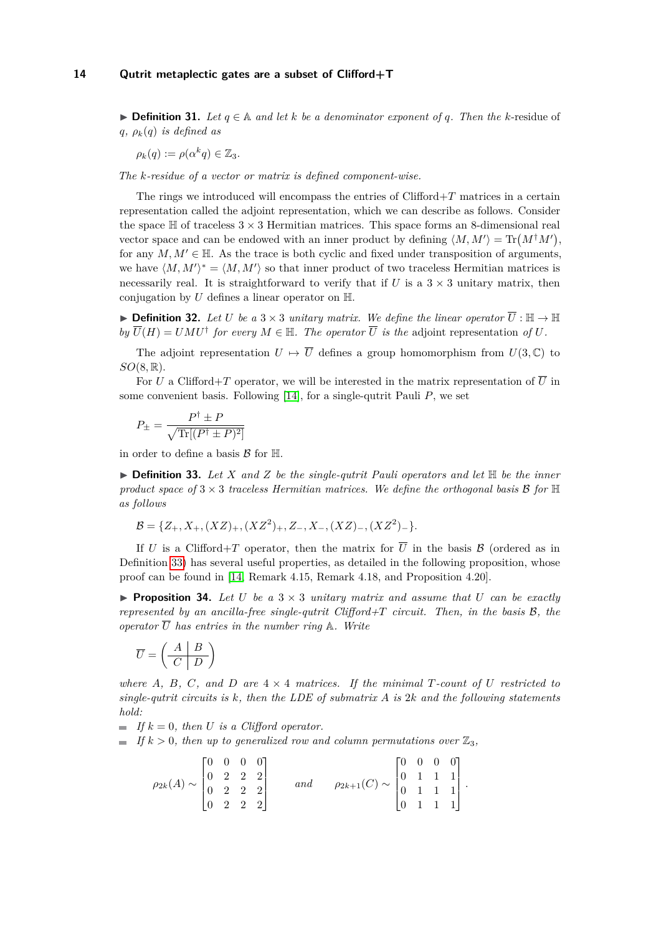▶ **Definition 31.** *Let*  $q \in \mathbb{A}$  *and let*  $k$  *be a denominator exponent of q. Then the*  $k$ -residue of  $q, \rho_k(q)$  *is defined as* 

 $\rho_k(q) := \rho(\alpha^k q) \in \mathbb{Z}_3$ .

*The k-residue of a vector or matrix is defined component-wise.*

The rings we introduced will encompass the entries of Clifford+*T* matrices in a certain representation called the adjoint representation, which we can describe as follows. Consider the space  $\mathbb H$  of traceless  $3 \times 3$  Hermitian matrices. This space forms an 8-dimensional real vector space and can be endowed with an inner product by defining  $\langle M, M' \rangle = \text{Tr}(M^{\dagger}M')$ , for any  $M, M' \in \mathbb{H}$ . As the trace is both cyclic and fixed under transposition of arguments, we have  $\langle M, M' \rangle^* = \langle M, M' \rangle$  so that inner product of two traceless Hermitian matrices is necessarily real. It is straightforward to verify that if *U* is a  $3 \times 3$  unitary matrix, then conjugation by  $U$  defines a linear operator on  $\mathbb{H}$ .

▶ **Definition 32.** Let *U* be a 3 × 3 *unitary matrix. We define the linear operator*  $\overline{U}$  :  $\mathbb{H} \to \mathbb{H}$  $by \ \overline{U}(H) = UMU^{\dagger}$  *for every*  $M \in \mathbb{H}$ *. The operator*  $\overline{U}$  *is the* adjoint representation *of*  $U$ *.* 

The adjoint representation  $U \mapsto \overline{U}$  defines a group homomorphism from  $U(3,\mathbb{C})$  to *SO*(8*,* R).

For *U* a Clifford+*T* operator, we will be interested in the matrix representation of  $\overline{U}$  in some convenient basis. Following [\[14\]](#page-11-10), for a single-qutrit Pauli *P*, we set

$$
P_{\pm} = \frac{P^{\dagger} \pm P}{\sqrt{\text{Tr}[(P^{\dagger} \pm P)^2]}}
$$

in order to define a basis  $\mathcal{B}$  for  $\mathbb{H}$ .

<span id="page-13-1"></span> $\triangleright$  **Definition 33.** Let X and Z be the single-qutrit Pauli operators and let  $\mathbb{H}$  be the inner *product space of*  $3 \times 3$  *traceless Hermitian matrices. We define the orthogonal basis*  $\mathcal{B}$  *for*  $\mathbb{H}$ *as follows*

$$
\mathcal{B} = \{Z_+, X_+, (XZ)_+, (XZ^2)_+, Z_-, X_-, (XZ)_-, (XZ^2)_-\}.
$$

If *U* is a Clifford+*T* operator, then the matrix for  $\overline{U}$  in the basis B (ordered as in Definition [33\)](#page-13-1) has several useful properties, as detailed in the following proposition, whose proof can be found in [\[14,](#page-11-10) Remark 4.15, Remark 4.18, and Proposition 4.20].

<span id="page-13-0"></span> $\triangleright$  **Proposition 34.** Let U be a  $3 \times 3$  *unitary matrix and assume that* U *can be exactly represented by an ancilla-free single-qutrit Clifford+T circuit. Then, in the basis* B*, the operator*  $\overline{U}$  *has entries in the number ring*  $\mathbb{A}$ *. Write* 

$$
\overline{U}=\left(\begin{array}{c|c}A & B \\ \hline C & D\end{array}\right)
$$

*where*  $A$ *,*  $B$ *,*  $C$ *, and*  $D$  *are*  $4 \times 4$  *matrices. If the minimal*  $T$ *-count of*  $U$  *restricted to single-qutrit circuits is k, then the LDE of submatrix A is* 2*k and the following statements hold:*

 $\blacksquare$  *If*  $k = 0$ *, then U is a Clifford operator.* 

 $\blacksquare$  *If*  $k > 0$ *, then up to generalized row and column permutations over*  $\mathbb{Z}_3$ *,* 

| $\rho_{2k}(A) \sim \begin{bmatrix} 0 & 0 & 0 & 0 \\ 0 & 2 & 2 & 2 \\ 0 & 2 & 2 & 2 \\ 0 & 2 & 2 & 2 \end{bmatrix}$ |  |  |     |                                                                                                                       |  |  |  |
|--------------------------------------------------------------------------------------------------------------------|--|--|-----|-----------------------------------------------------------------------------------------------------------------------|--|--|--|
|                                                                                                                    |  |  | and | $\rho_{2k+1}(C) \sim \begin{bmatrix} 0 & 0 & 0 & 0 \\ 0 & 1 & 1 & 1 \\ 0 & 1 & 1 & 1 \\ 0 & 1 & 1 & 1 \end{bmatrix}.$ |  |  |  |
|                                                                                                                    |  |  |     |                                                                                                                       |  |  |  |
|                                                                                                                    |  |  |     |                                                                                                                       |  |  |  |